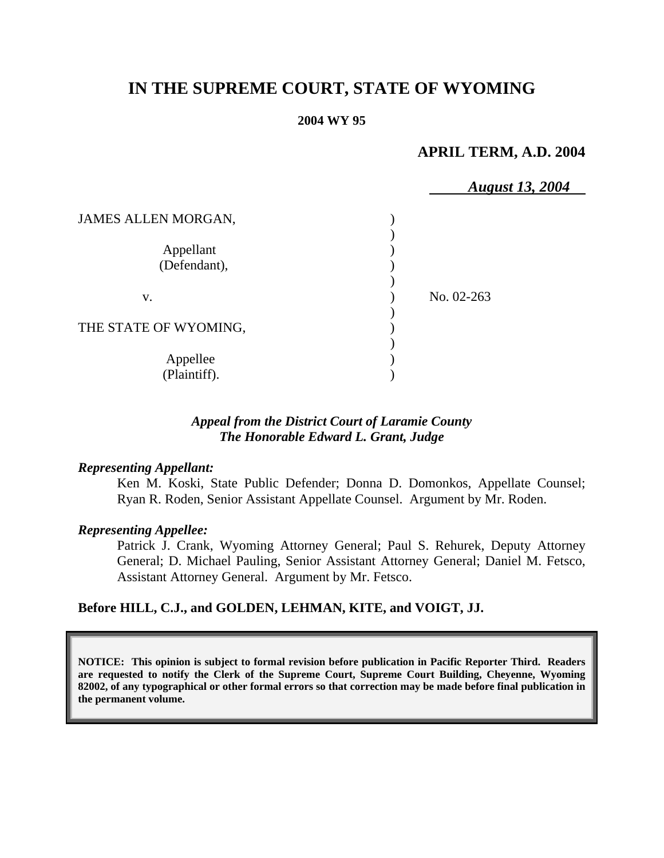# **IN THE SUPREME COURT, STATE OF WYOMING**

#### **2004 WY 95**

### **APRIL TERM, A.D. 2004**

|                            | <b>August 13, 2004</b> |  |
|----------------------------|------------------------|--|
| <b>JAMES ALLEN MORGAN,</b> |                        |  |
| Appellant<br>(Defendant),  |                        |  |
| V.                         | No. 02-263             |  |
| THE STATE OF WYOMING,      |                        |  |
| Appellee<br>(Plaintiff).   |                        |  |

### *Appeal from the District Court of Laramie County The Honorable Edward L. Grant, Judge*

#### *Representing Appellant:*

Ken M. Koski, State Public Defender; Donna D. Domonkos, Appellate Counsel; Ryan R. Roden, Senior Assistant Appellate Counsel. Argument by Mr. Roden.

#### *Representing Appellee:*

Patrick J. Crank, Wyoming Attorney General; Paul S. Rehurek, Deputy Attorney General; D. Michael Pauling, Senior Assistant Attorney General; Daniel M. Fetsco, Assistant Attorney General. Argument by Mr. Fetsco.

### **Before HILL, C.J., and GOLDEN, LEHMAN, KITE, and VOIGT, JJ.**

**NOTICE: This opinion is subject to formal revision before publication in Pacific Reporter Third. Readers are requested to notify the Clerk of the Supreme Court, Supreme Court Building, Cheyenne, Wyoming 82002, of any typographical or other formal errors so that correction may be made before final publication in the permanent volume.**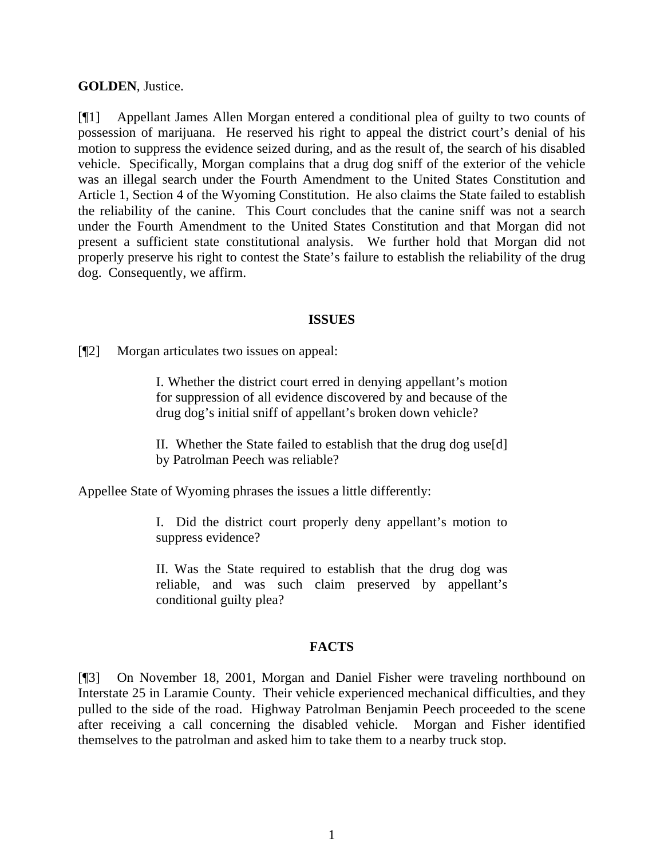#### **GOLDEN**, Justice.

[¶1] Appellant James Allen Morgan entered a conditional plea of guilty to two counts of possession of marijuana. He reserved his right to appeal the district court's denial of his motion to suppress the evidence seized during, and as the result of, the search of his disabled vehicle. Specifically, Morgan complains that a drug dog sniff of the exterior of the vehicle was an illegal search under the Fourth Amendment to the United States Constitution and Article 1, Section 4 of the Wyoming Constitution. He also claims the State failed to establish the reliability of the canine. This Court concludes that the canine sniff was not a search under the Fourth Amendment to the United States Constitution and that Morgan did not present a sufficient state constitutional analysis. We further hold that Morgan did not properly preserve his right to contest the State's failure to establish the reliability of the drug dog. Consequently, we affirm.

#### **ISSUES**

[¶2] Morgan articulates two issues on appeal:

I. Whether the district court erred in denying appellant's motion for suppression of all evidence discovered by and because of the drug dog's initial sniff of appellant's broken down vehicle?

II. Whether the State failed to establish that the drug dog use[d] by Patrolman Peech was reliable?

Appellee State of Wyoming phrases the issues a little differently:

I. Did the district court properly deny appellant's motion to suppress evidence?

II. Was the State required to establish that the drug dog was reliable, and was such claim preserved by appellant's conditional guilty plea?

#### **FACTS**

[¶3] On November 18, 2001, Morgan and Daniel Fisher were traveling northbound on Interstate 25 in Laramie County. Their vehicle experienced mechanical difficulties, and they pulled to the side of the road. Highway Patrolman Benjamin Peech proceeded to the scene after receiving a call concerning the disabled vehicle. Morgan and Fisher identified themselves to the patrolman and asked him to take them to a nearby truck stop.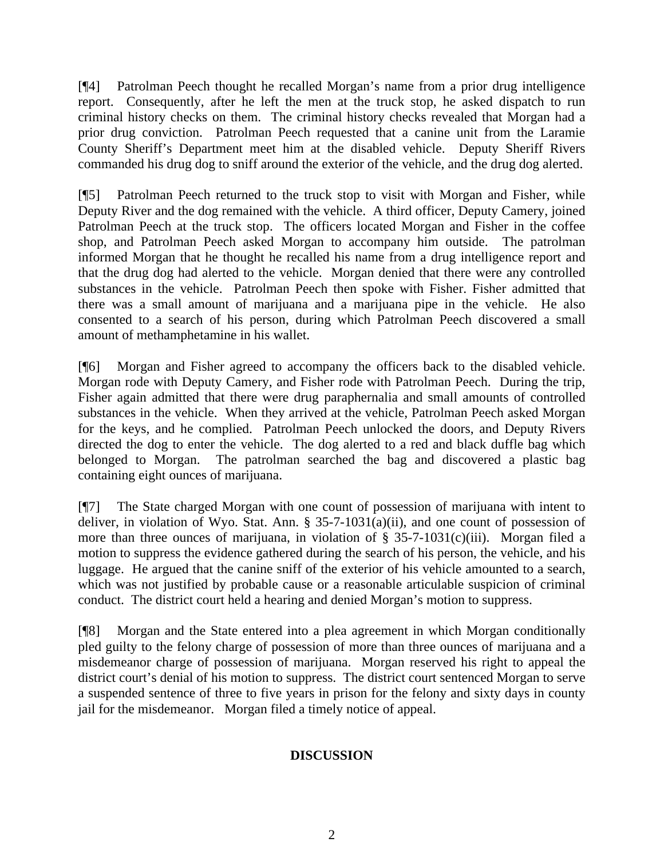[¶4] Patrolman Peech thought he recalled Morgan's name from a prior drug intelligence report. Consequently, after he left the men at the truck stop, he asked dispatch to run criminal history checks on them. The criminal history checks revealed that Morgan had a prior drug conviction. Patrolman Peech requested that a canine unit from the Laramie County Sheriff's Department meet him at the disabled vehicle. Deputy Sheriff Rivers commanded his drug dog to sniff around the exterior of the vehicle, and the drug dog alerted.

[¶5] Patrolman Peech returned to the truck stop to visit with Morgan and Fisher, while Deputy River and the dog remained with the vehicle. A third officer, Deputy Camery, joined Patrolman Peech at the truck stop. The officers located Morgan and Fisher in the coffee shop, and Patrolman Peech asked Morgan to accompany him outside. The patrolman informed Morgan that he thought he recalled his name from a drug intelligence report and that the drug dog had alerted to the vehicle. Morgan denied that there were any controlled substances in the vehicle. Patrolman Peech then spoke with Fisher. Fisher admitted that there was a small amount of marijuana and a marijuana pipe in the vehicle. He also consented to a search of his person, during which Patrolman Peech discovered a small amount of methamphetamine in his wallet.

[¶6] Morgan and Fisher agreed to accompany the officers back to the disabled vehicle. Morgan rode with Deputy Camery, and Fisher rode with Patrolman Peech. During the trip, Fisher again admitted that there were drug paraphernalia and small amounts of controlled substances in the vehicle. When they arrived at the vehicle, Patrolman Peech asked Morgan for the keys, and he complied. Patrolman Peech unlocked the doors, and Deputy Rivers directed the dog to enter the vehicle. The dog alerted to a red and black duffle bag which belonged to Morgan. The patrolman searched the bag and discovered a plastic bag containing eight ounces of marijuana.

[¶7] The State charged Morgan with one count of possession of marijuana with intent to deliver, in violation of Wyo. Stat. Ann.  $\S$  35-7-1031(a)(ii), and one count of possession of more than three ounces of marijuana, in violation of  $\S$  35-7-1031(c)(iii). Morgan filed a motion to suppress the evidence gathered during the search of his person, the vehicle, and his luggage. He argued that the canine sniff of the exterior of his vehicle amounted to a search, which was not justified by probable cause or a reasonable articulable suspicion of criminal conduct. The district court held a hearing and denied Morgan's motion to suppress.

[¶8] Morgan and the State entered into a plea agreement in which Morgan conditionally pled guilty to the felony charge of possession of more than three ounces of marijuana and a misdemeanor charge of possession of marijuana. Morgan reserved his right to appeal the district court's denial of his motion to suppress. The district court sentenced Morgan to serve a suspended sentence of three to five years in prison for the felony and sixty days in county jail for the misdemeanor. Morgan filed a timely notice of appeal.

### **DISCUSSION**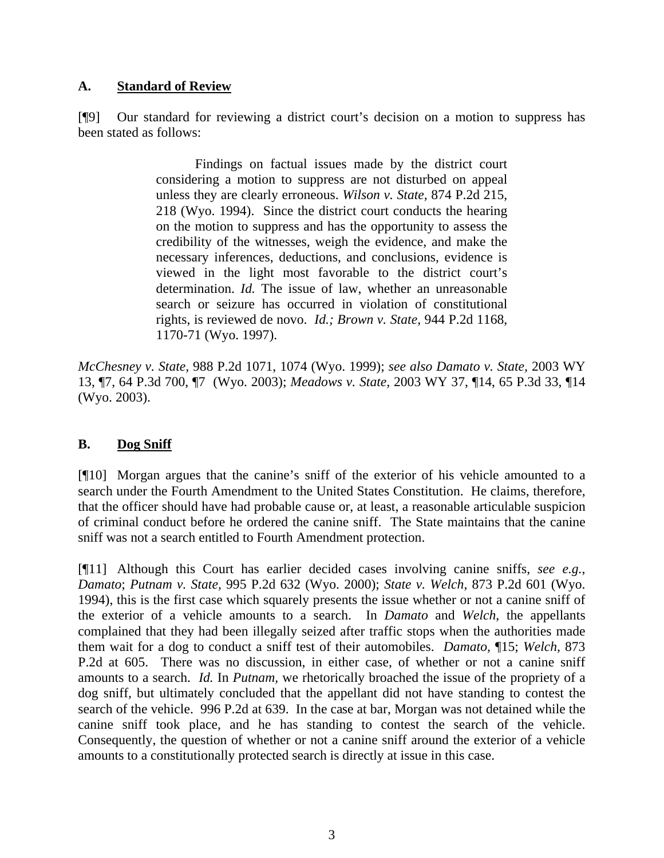### **A. Standard of Review**

[¶9] Our standard for reviewing a district court's decision on a motion to suppress has been stated as follows:

> Findings on factual issues made by the district court considering a motion to suppress are not disturbed on appeal unless they are clearly erroneous. *Wilson v. State,* 874 P.2d 215, 218 (Wyo. 1994). Since the district court conducts the hearing on the motion to suppress and has the opportunity to assess the credibility of the witnesses, weigh the evidence, and make the necessary inferences, deductions, and conclusions, evidence is viewed in the light most favorable to the district court's determination. *Id.* The issue of law, whether an unreasonable search or seizure has occurred in violation of constitutional rights, is reviewed de novo. *Id.; Brown v. State,* 944 P.2d 1168, 1170-71 (Wyo. 1997).

*McChesney v. State,* 988 P.2d 1071, 1074 (Wyo. 1999); *see also Damato v. State,* 2003 WY 13, ¶7, 64 P.3d 700, ¶7 (Wyo. 2003); *Meadows v. State,* 2003 WY 37, ¶14, 65 P.3d 33, ¶14 (Wyo. 2003).

### **B. Dog Sniff**

[¶10] Morgan argues that the canine's sniff of the exterior of his vehicle amounted to a search under the Fourth Amendment to the United States Constitution. He claims, therefore, that the officer should have had probable cause or, at least, a reasonable articulable suspicion of criminal conduct before he ordered the canine sniff. The State maintains that the canine sniff was not a search entitled to Fourth Amendment protection.

[¶11] Although this Court has earlier decided cases involving canine sniffs, *see e.g.*, *Damato*; *Putnam v. State,* 995 P.2d 632 (Wyo. 2000); *State v. Welch,* 873 P.2d 601 (Wyo. 1994), this is the first case which squarely presents the issue whether or not a canine sniff of the exterior of a vehicle amounts to a search. In *Damato* and *Welch*, the appellants complained that they had been illegally seized after traffic stops when the authorities made them wait for a dog to conduct a sniff test of their automobiles. *Damato,* ¶15; *Welch,* 873 P.2d at 605. There was no discussion, in either case, of whether or not a canine sniff amounts to a search. *Id.* In *Putnam,* we rhetorically broached the issue of the propriety of a dog sniff*,* but ultimately concluded that the appellant did not have standing to contest the search of the vehicle. 996 P.2d at 639. In the case at bar, Morgan was not detained while the canine sniff took place, and he has standing to contest the search of the vehicle. Consequently, the question of whether or not a canine sniff around the exterior of a vehicle amounts to a constitutionally protected search is directly at issue in this case.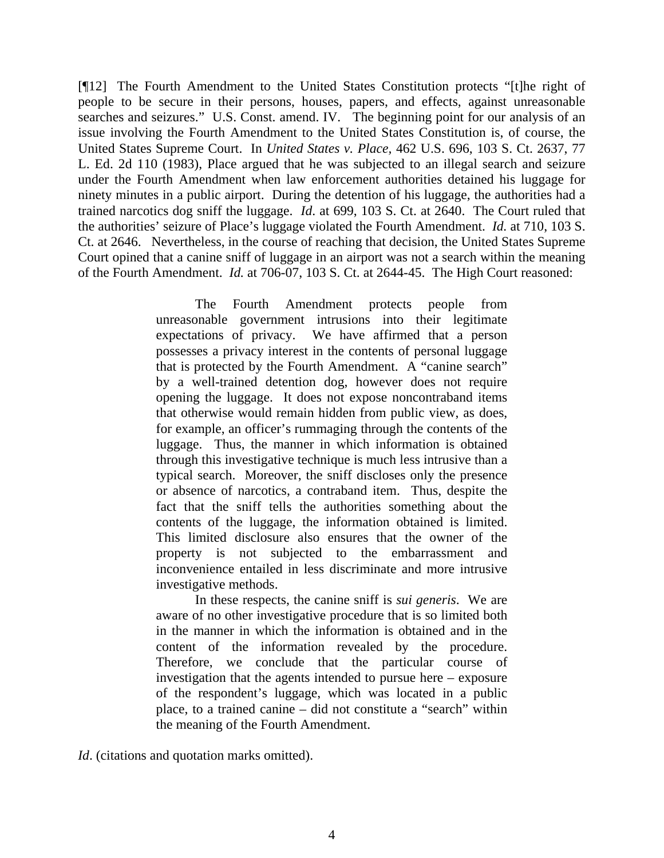[¶12] The Fourth Amendment to the United States Constitution protects "[t]he right of people to be secure in their persons, houses, papers, and effects, against unreasonable searches and seizures." U.S. Const. amend. IV. The beginning point for our analysis of an issue involving the Fourth Amendment to the United States Constitution is, of course, the United States Supreme Court. In *United States v. Place,* 462 U.S. 696, 103 S. Ct. 2637, 77 L. Ed. 2d 110 (1983), Place argued that he was subjected to an illegal search and seizure under the Fourth Amendment when law enforcement authorities detained his luggage for ninety minutes in a public airport. During the detention of his luggage, the authorities had a trained narcotics dog sniff the luggage. *Id*. at 699, 103 S. Ct. at 2640. The Court ruled that the authorities' seizure of Place's luggage violated the Fourth Amendment. *Id.* at 710, 103 S. Ct. at 2646. Nevertheless, in the course of reaching that decision, the United States Supreme Court opined that a canine sniff of luggage in an airport was not a search within the meaning of the Fourth Amendment. *Id.* at 706-07, 103 S. Ct. at 2644-45. The High Court reasoned:

> The Fourth Amendment protects people from unreasonable government intrusions into their legitimate expectations of privacy. We have affirmed that a person possesses a privacy interest in the contents of personal luggage that is protected by the Fourth Amendment. A "canine search" by a well-trained detention dog, however does not require opening the luggage. It does not expose noncontraband items that otherwise would remain hidden from public view, as does, for example, an officer's rummaging through the contents of the luggage. Thus, the manner in which information is obtained through this investigative technique is much less intrusive than a typical search. Moreover, the sniff discloses only the presence or absence of narcotics, a contraband item. Thus, despite the fact that the sniff tells the authorities something about the contents of the luggage, the information obtained is limited. This limited disclosure also ensures that the owner of the property is not subjected to the embarrassment and inconvenience entailed in less discriminate and more intrusive investigative methods.

> In these respects, the canine sniff is *sui generis*. We are aware of no other investigative procedure that is so limited both in the manner in which the information is obtained and in the content of the information revealed by the procedure. Therefore, we conclude that the particular course of investigation that the agents intended to pursue here – exposure of the respondent's luggage, which was located in a public place, to a trained canine – did not constitute a "search" within the meaning of the Fourth Amendment.

*Id*. (citations and quotation marks omitted).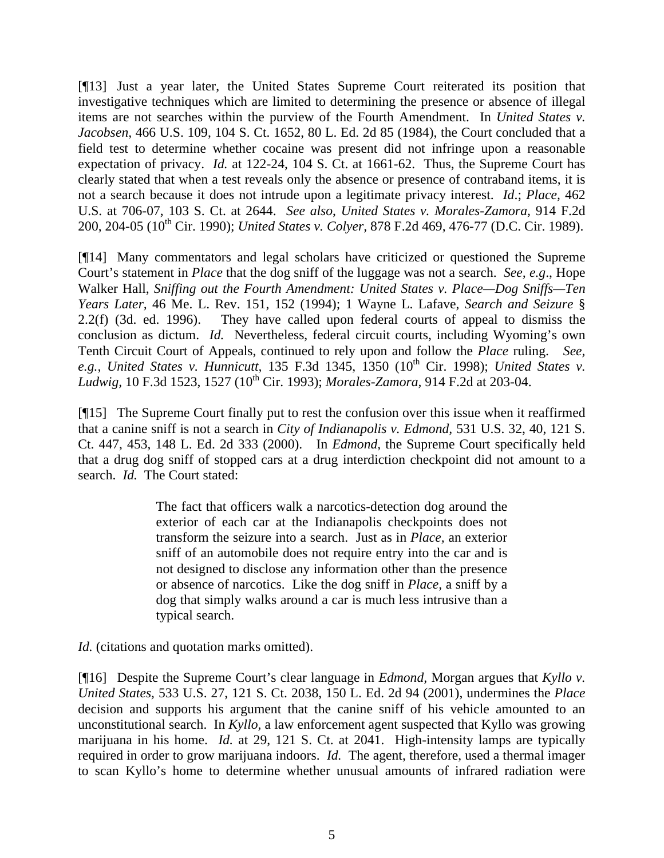[¶13] Just a year later, the United States Supreme Court reiterated its position that investigative techniques which are limited to determining the presence or absence of illegal items are not searches within the purview of the Fourth Amendment. In *United States v. Jacobsen,* 466 U.S. 109, 104 S. Ct. 1652, 80 L. Ed. 2d 85 (1984), the Court concluded that a field test to determine whether cocaine was present did not infringe upon a reasonable expectation of privacy. *Id.* at 122-24, 104 S. Ct. at 1661-62. Thus, the Supreme Court has clearly stated that when a test reveals only the absence or presence of contraband items, it is not a search because it does not intrude upon a legitimate privacy interest. *Id*.; *Place,* 462 U.S. at 706-07, 103 S. Ct. at 2644. *See also*, *United States v. Morales-Zamora,* 914 F.2d 200, 204-05 (10<sup>th</sup> Cir. 1990); *United States v. Colyer*, 878 F.2d 469, 476-77 (D.C. Cir. 1989).

[¶14] Many commentators and legal scholars have criticized or questioned the Supreme Court's statement in *Place* that the dog sniff of the luggage was not a search. *See, e.g*., Hope Walker Hall, *Sniffing out the Fourth Amendment: United States v. Place—Dog Sniffs—Ten Years Later,* 46 Me. L. Rev. 151, 152 (1994); 1 Wayne L. Lafave, *Search and Seizure* § 2.2(f) (3d. ed. 1996). They have called upon federal courts of appeal to dismiss the conclusion as dictum. *Id.* Nevertheless, federal circuit courts, including Wyoming's own Tenth Circuit Court of Appeals, continued to rely upon and follow the *Place* ruling. *See,* e.g., United States v. Hunnicutt, 135 F.3d 1345, 1350 (10<sup>th</sup> Cir. 1998); United States v. *Ludwig,* 10 F.3d 1523, 1527 (10th Cir. 1993); *Morales-Zamora,* 914 F.2d at 203-04.

[¶15] The Supreme Court finally put to rest the confusion over this issue when it reaffirmed that a canine sniff is not a search in *City of Indianapolis v. Edmond,* 531 U.S. 32, 40, 121 S. Ct. 447, 453, 148 L. Ed. 2d 333 (2000). In *Edmond,* the Supreme Court specifically held that a drug dog sniff of stopped cars at a drug interdiction checkpoint did not amount to a search. *Id.* The Court stated:

> The fact that officers walk a narcotics-detection dog around the exterior of each car at the Indianapolis checkpoints does not transform the seizure into a search. Just as in *Place,* an exterior sniff of an automobile does not require entry into the car and is not designed to disclose any information other than the presence or absence of narcotics. Like the dog sniff in *Place,* a sniff by a dog that simply walks around a car is much less intrusive than a typical search.

*Id.* (citations and quotation marks omitted).

[¶16] Despite the Supreme Court's clear language in *Edmond,* Morgan argues that *Kyllo v. United States,* 533 U.S. 27, 121 S. Ct. 2038, 150 L. Ed. 2d 94 (2001), undermines the *Place*  decision and supports his argument that the canine sniff of his vehicle amounted to an unconstitutional search. In *Kyllo,* a law enforcement agent suspected that Kyllo was growing marijuana in his home. *Id.* at 29, 121 S. Ct. at 2041. High-intensity lamps are typically required in order to grow marijuana indoors. *Id.* The agent, therefore, used a thermal imager to scan Kyllo's home to determine whether unusual amounts of infrared radiation were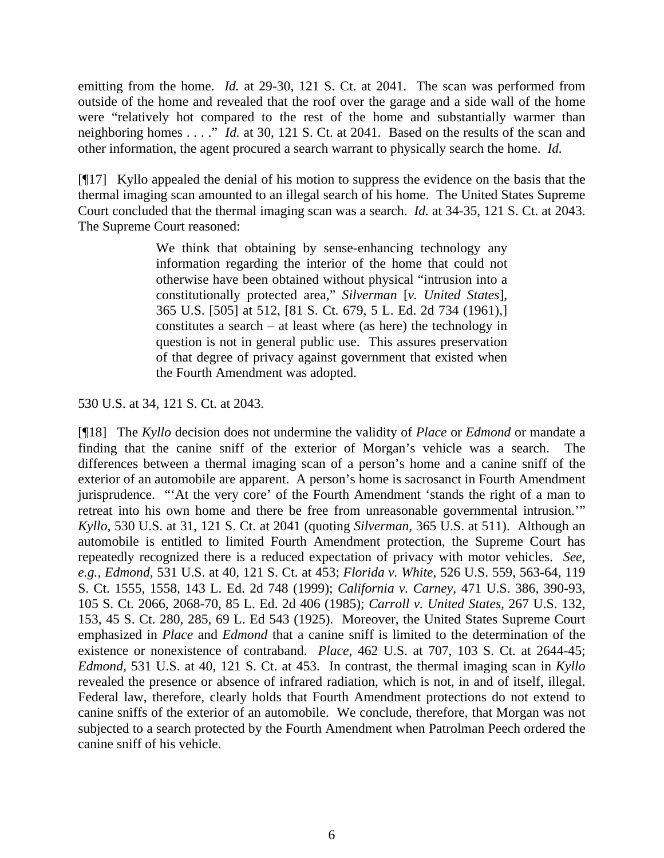emitting from the home. *Id.* at 29-30, 121 S. Ct. at 2041. The scan was performed from outside of the home and revealed that the roof over the garage and a side wall of the home were "relatively hot compared to the rest of the home and substantially warmer than neighboring homes . . . ." *Id.* at 30, 121 S. Ct. at 2041. Based on the results of the scan and other information, the agent procured a search warrant to physically search the home. *Id.* 

[¶17] Kyllo appealed the denial of his motion to suppress the evidence on the basis that the thermal imaging scan amounted to an illegal search of his home. The United States Supreme Court concluded that the thermal imaging scan was a search. *Id.* at 34-35, 121 S. Ct. at 2043. The Supreme Court reasoned:

> We think that obtaining by sense-enhancing technology any information regarding the interior of the home that could not otherwise have been obtained without physical "intrusion into a constitutionally protected area," *Silverman* [*v. United States*]*,*  365 U.S. [505] at 512, [81 S. Ct. 679, 5 L. Ed. 2d 734 (1961),] constitutes a search – at least where (as here) the technology in question is not in general public use. This assures preservation of that degree of privacy against government that existed when the Fourth Amendment was adopted.

530 U.S. at 34, 121 S. Ct. at 2043.

[¶18] The *Kyllo* decision does not undermine the validity of *Place* or *Edmond* or mandate a finding that the canine sniff of the exterior of Morgan's vehicle was a search. The differences between a thermal imaging scan of a person's home and a canine sniff of the exterior of an automobile are apparent. A person's home is sacrosanct in Fourth Amendment jurisprudence. "'At the very core' of the Fourth Amendment 'stands the right of a man to retreat into his own home and there be free from unreasonable governmental intrusion.'" *Kyllo,* 530 U.S. at 31, 121 S. Ct. at 2041 (quoting *Silverman,* 365 U.S. at 511). Although an automobile is entitled to limited Fourth Amendment protection, the Supreme Court has repeatedly recognized there is a reduced expectation of privacy with motor vehicles. *See, e.g., Edmond,* 531 U.S. at 40, 121 S. Ct. at 453; *Florida v. White,* 526 U.S. 559, 563-64, 119 S. Ct. 1555, 1558, 143 L. Ed. 2d 748 (1999); *California v. Carney,* 471 U.S. 386, 390-93, 105 S. Ct. 2066, 2068-70, 85 L. Ed. 2d 406 (1985); *Carroll v. United States,* 267 U.S. 132, 153, 45 S. Ct. 280, 285, 69 L. Ed 543 (1925). Moreover, the United States Supreme Court emphasized in *Place* and *Edmond* that a canine sniff is limited to the determination of the existence or nonexistence of contraband. *Place,* 462 U.S. at 707, 103 S. Ct. at 2644-45; *Edmond,* 531 U.S. at 40, 121 S. Ct. at 453. In contrast, the thermal imaging scan in *Kyllo* revealed the presence or absence of infrared radiation, which is not, in and of itself, illegal. Federal law, therefore, clearly holds that Fourth Amendment protections do not extend to canine sniffs of the exterior of an automobile. We conclude, therefore, that Morgan was not subjected to a search protected by the Fourth Amendment when Patrolman Peech ordered the canine sniff of his vehicle.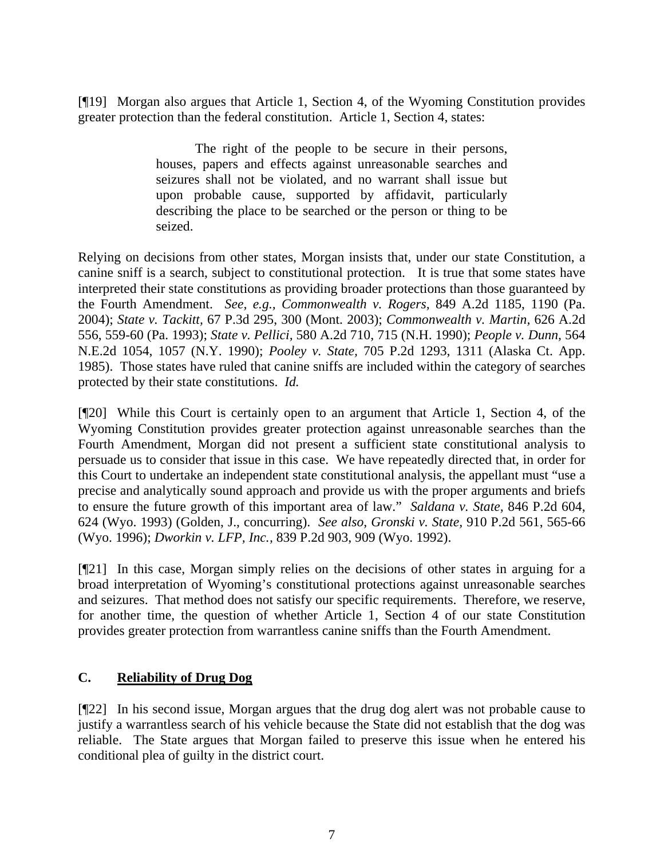[¶19] Morgan also argues that Article 1, Section 4, of the Wyoming Constitution provides greater protection than the federal constitution. Article 1, Section 4, states:

> The right of the people to be secure in their persons, houses, papers and effects against unreasonable searches and seizures shall not be violated, and no warrant shall issue but upon probable cause, supported by affidavit, particularly describing the place to be searched or the person or thing to be seized.

Relying on decisions from other states, Morgan insists that, under our state Constitution, a canine sniff is a search, subject to constitutional protection. It is true that some states have interpreted their state constitutions as providing broader protections than those guaranteed by the Fourth Amendment. *See, e.g., Commonwealth v. Rogers,* 849 A.2d 1185, 1190 (Pa. 2004); *State v. Tackitt,* 67 P.3d 295, 300 (Mont. 2003); *Commonwealth v. Martin,* 626 A.2d 556, 559-60 (Pa. 1993); *State v. Pellici,* 580 A.2d 710, 715 (N.H. 1990); *People v. Dunn,* 564 N.E.2d 1054, 1057 (N.Y. 1990); *Pooley v. State,* 705 P.2d 1293, 1311 (Alaska Ct. App. 1985). Those states have ruled that canine sniffs are included within the category of searches protected by their state constitutions. *Id.* 

[¶20] While this Court is certainly open to an argument that Article 1, Section 4, of the Wyoming Constitution provides greater protection against unreasonable searches than the Fourth Amendment, Morgan did not present a sufficient state constitutional analysis to persuade us to consider that issue in this case. We have repeatedly directed that, in order for this Court to undertake an independent state constitutional analysis, the appellant must "use a precise and analytically sound approach and provide us with the proper arguments and briefs to ensure the future growth of this important area of law." *Saldana v. State,* 846 P.2d 604, 624 (Wyo. 1993) (Golden, J., concurring). *See also*, *Gronski v. State,* 910 P.2d 561, 565-66 (Wyo. 1996); *Dworkin v. LFP, Inc.,* 839 P.2d 903, 909 (Wyo. 1992).

[¶21] In this case, Morgan simply relies on the decisions of other states in arguing for a broad interpretation of Wyoming's constitutional protections against unreasonable searches and seizures. That method does not satisfy our specific requirements. Therefore, we reserve, for another time, the question of whether Article 1, Section 4 of our state Constitution provides greater protection from warrantless canine sniffs than the Fourth Amendment.

## **C. Reliability of Drug Dog**

[¶22] In his second issue, Morgan argues that the drug dog alert was not probable cause to justify a warrantless search of his vehicle because the State did not establish that the dog was reliable. The State argues that Morgan failed to preserve this issue when he entered his conditional plea of guilty in the district court.